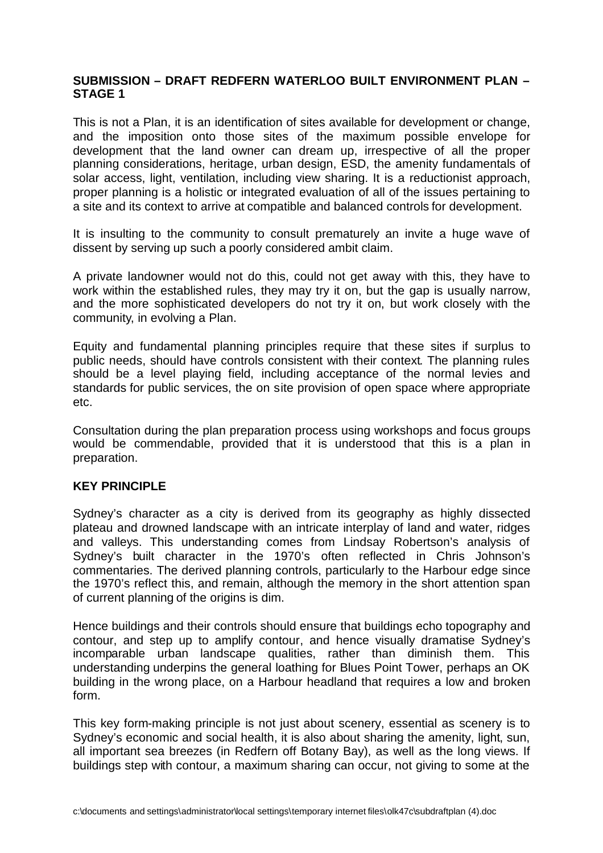## **SUBMISSION – DRAFT REDFERN WATERLOO BUILT ENVIRONMENT PLAN – STAGE 1**

This is not a Plan, it is an identification of sites available for development or change, and the imposition onto those sites of the maximum possible envelope for development that the land owner can dream up, irrespective of all the proper planning considerations, heritage, urban design, ESD, the amenity fundamentals of solar access, light, ventilation, including view sharing. It is a reductionist approach, proper planning is a holistic or integrated evaluation of all of the issues pertaining to a site and its context to arrive at compatible and balanced controls for development.

It is insulting to the community to consult prematurely an invite a huge wave of dissent by serving up such a poorly considered ambit claim.

A private landowner would not do this, could not get away with this, they have to work within the established rules, they may try it on, but the gap is usually narrow, and the more sophisticated developers do not try it on, but work closely with the community, in evolving a Plan.

Equity and fundamental planning principles require that these sites if surplus to public needs, should have controls consistent with their context. The planning rules should be a level playing field, including acceptance of the normal levies and standards for public services, the on site provision of open space where appropriate etc.

Consultation during the plan preparation process using workshops and focus groups would be commendable, provided that it is understood that this is a plan in preparation.

## **KEY PRINCIPLE**

Sydney's character as a city is derived from its geography as highly dissected plateau and drowned landscape with an intricate interplay of land and water, ridges and valleys. This understanding comes from Lindsay Robertson's analysis of Sydney's built character in the 1970's often reflected in Chris Johnson's commentaries. The derived planning controls, particularly to the Harbour edge since the 1970's reflect this, and remain, although the memory in the short attention span of current planning of the origins is dim.

Hence buildings and their controls should ensure that buildings echo topography and contour, and step up to amplify contour, and hence visually dramatise Sydney's incomparable urban landscape qualities, rather than diminish them. This understanding underpins the general loathing for Blues Point Tower, perhaps an OK building in the wrong place, on a Harbour headland that requires a low and broken form.

This key form-making principle is not just about scenery, essential as scenery is to Sydney's economic and social health, it is also about sharing the amenity, light, sun, all important sea breezes (in Redfern off Botany Bay), as well as the long views. If buildings step with contour, a maximum sharing can occur, not giving to some at the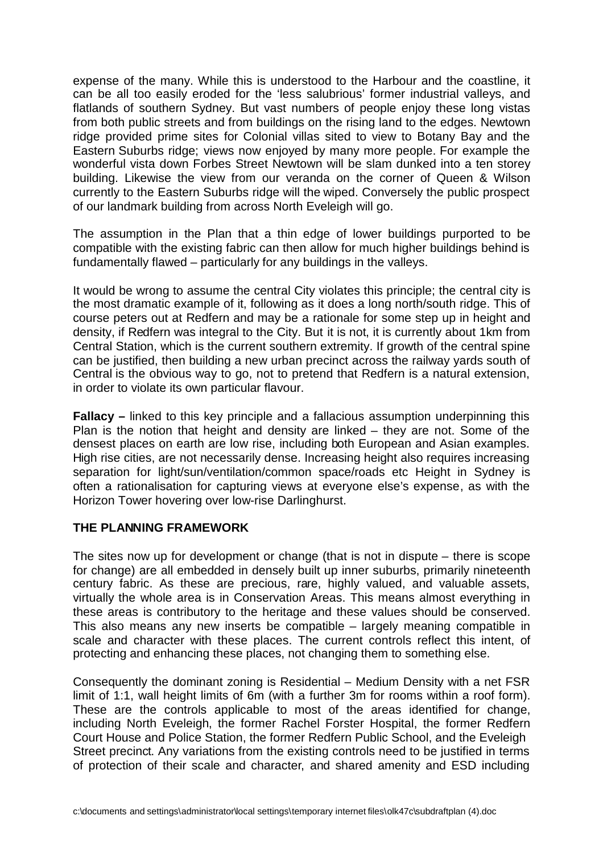expense of the many. While this is understood to the Harbour and the coastline, it can be all too easily eroded for the 'less salubrious' former industrial valleys, and flatlands of southern Sydney. But vast numbers of people enjoy these long vistas from both public streets and from buildings on the rising land to the edges. Newtown ridge provided prime sites for Colonial villas sited to view to Botany Bay and the Eastern Suburbs ridge; views now enjoyed by many more people. For example the wonderful vista down Forbes Street Newtown will be slam dunked into a ten storey building. Likewise the view from our veranda on the corner of Queen & Wilson currently to the Eastern Suburbs ridge will the wiped. Conversely the public prospect of our landmark building from across North Eveleigh will go.

The assumption in the Plan that a thin edge of lower buildings purported to be compatible with the existing fabric can then allow for much higher buildings behind is fundamentally flawed – particularly for any buildings in the valleys.

It would be wrong to assume the central City violates this principle; the central city is the most dramatic example of it, following as it does a long north/south ridge. This of course peters out at Redfern and may be a rationale for some step up in height and density, if Redfern was integral to the City. But it is not, it is currently about 1km from Central Station, which is the current southern extremity. If growth of the central spine can be justified, then building a new urban precinct across the railway yards south of Central is the obvious way to go, not to pretend that Redfern is a natural extension, in order to violate its own particular flavour.

**Fallacy –** linked to this key principle and a fallacious assumption underpinning this Plan is the notion that height and density are linked – they are not. Some of the densest places on earth are low rise, including both European and Asian examples. High rise cities, are not necessarily dense. Increasing height also requires increasing separation for light/sun/ventilation/common space/roads etc Height in Sydney is often a rationalisation for capturing views at everyone else's expense, as with the Horizon Tower hovering over low-rise Darlinghurst.

## **THE PLANNING FRAMEWORK**

The sites now up for development or change (that is not in dispute – there is scope for change) are all embedded in densely built up inner suburbs, primarily nineteenth century fabric. As these are precious, rare, highly valued, and valuable assets, virtually the whole area is in Conservation Areas. This means almost everything in these areas is contributory to the heritage and these values should be conserved. This also means any new inserts be compatible – largely meaning compatible in scale and character with these places. The current controls reflect this intent, of protecting and enhancing these places, not changing them to something else.

Consequently the dominant zoning is Residential – Medium Density with a net FSR limit of 1:1, wall height limits of 6m (with a further 3m for rooms within a roof form). These are the controls applicable to most of the areas identified for change, including North Eveleigh, the former Rachel Forster Hospital, the former Redfern Court House and Police Station, the former Redfern Public School, and the Eveleigh Street precinct. Any variations from the existing controls need to be justified in terms of protection of their scale and character, and shared amenity and ESD including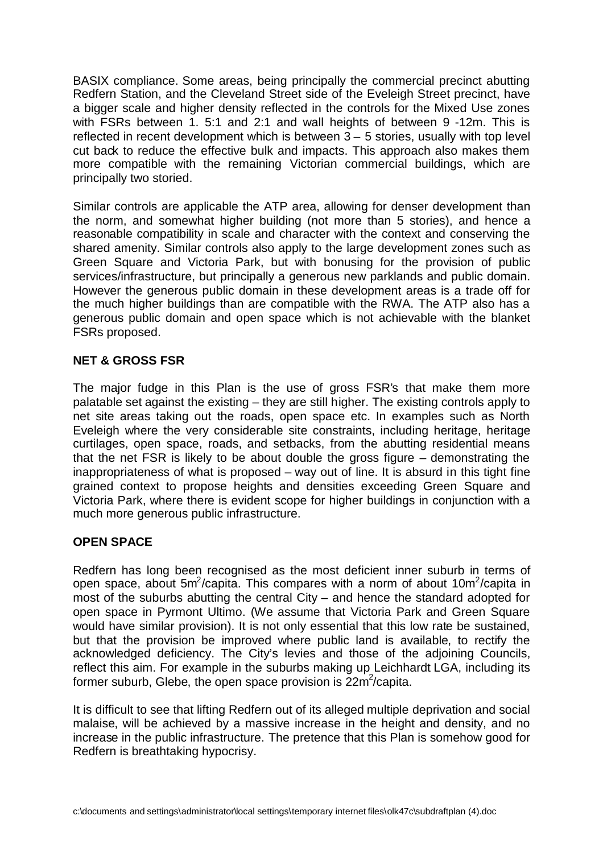BASIX compliance. Some areas, being principally the commercial precinct abutting Redfern Station, and the Cleveland Street side of the Eveleigh Street precinct, have a bigger scale and higher density reflected in the controls for the Mixed Use zones with FSRs between 1. 5:1 and 2:1 and wall heights of between 9 -12m. This is reflected in recent development which is between 3 – 5 stories, usually with top level cut back to reduce the effective bulk and impacts. This approach also makes them more compatible with the remaining Victorian commercial buildings, which are principally two storied.

Similar controls are applicable the ATP area, allowing for denser development than the norm, and somewhat higher building (not more than 5 stories), and hence a reasonable compatibility in scale and character with the context and conserving the shared amenity. Similar controls also apply to the large development zones such as Green Square and Victoria Park, but with bonusing for the provision of public services/infrastructure, but principally a generous new parklands and public domain. However the generous public domain in these development areas is a trade off for the much higher buildings than are compatible with the RWA. The ATP also has a generous public domain and open space which is not achievable with the blanket FSRs proposed.

## **NET & GROSS FSR**

The major fudge in this Plan is the use of gross FSR's that make them more palatable set against the existing – they are still higher. The existing controls apply to net site areas taking out the roads, open space etc. In examples such as North Eveleigh where the very considerable site constraints, including heritage, heritage curtilages, open space, roads, and setbacks, from the abutting residential means that the net FSR is likely to be about double the gross figure – demonstrating the inappropriateness of what is proposed – way out of line. It is absurd in this tight fine grained context to propose heights and densities exceeding Green Square and Victoria Park, where there is evident scope for higher buildings in conjunction with a much more generous public infrastructure.

# **OPEN SPACE**

Redfern has long been recognised as the most deficient inner suburb in terms of open space, about 5m<sup>2</sup>/capita. This compares with a norm of about 10m<sup>2</sup>/capita in most of the suburbs abutting the central City – and hence the standard adopted for open space in Pyrmont Ultimo. (We assume that Victoria Park and Green Square would have similar provision). It is not only essential that this low rate be sustained, but that the provision be improved where public land is available, to rectify the acknowledged deficiency. The City's levies and those of the adjoining Councils, reflect this aim. For example in the suburbs making up Leichhardt LGA, including its former suburb, Glebe, the open space provision is  $22m^2/c$ apita.

It is difficult to see that lifting Redfern out of its alleged multiple deprivation and social malaise, will be achieved by a massive increase in the height and density, and no increase in the public infrastructure. The pretence that this Plan is somehow good for Redfern is breathtaking hypocrisy.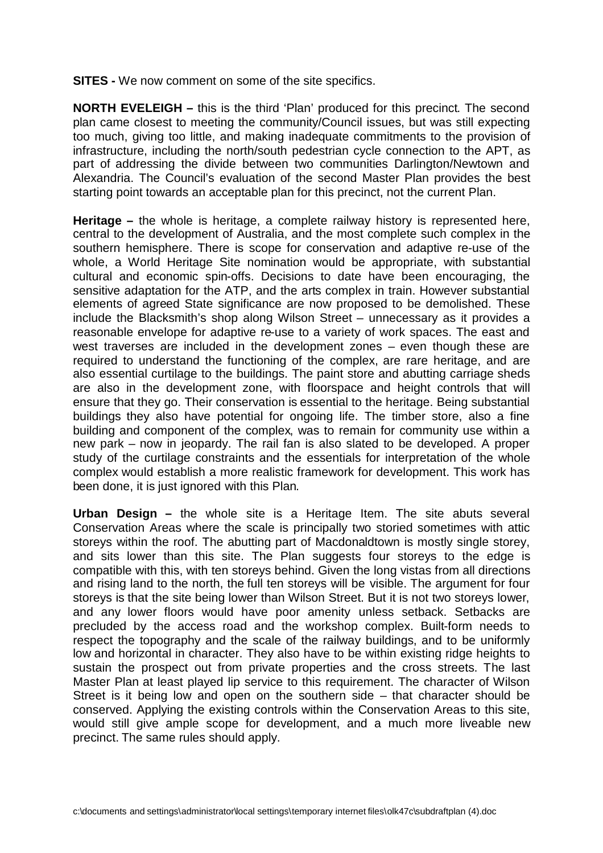**SITES** - We now comment on some of the site specifics.

**NORTH EVELEIGH –** this is the third 'Plan' produced for this precinct. The second plan came closest to meeting the community/Council issues, but was still expecting too much, giving too little, and making inadequate commitments to the provision of infrastructure, including the north/south pedestrian cycle connection to the APT, as part of addressing the divide between two communities Darlington/Newtown and Alexandria. The Council's evaluation of the second Master Plan provides the best starting point towards an acceptable plan for this precinct, not the current Plan.

**Heritage –** the whole is heritage, a complete railway history is represented here, central to the development of Australia, and the most complete such complex in the southern hemisphere. There is scope for conservation and adaptive re-use of the whole, a World Heritage Site nomination would be appropriate, with substantial cultural and economic spin-offs. Decisions to date have been encouraging, the sensitive adaptation for the ATP, and the arts complex in train. However substantial elements of agreed State significance are now proposed to be demolished. These include the Blacksmith's shop along Wilson Street – unnecessary as it provides a reasonable envelope for adaptive re-use to a variety of work spaces. The east and west traverses are included in the development zones – even though these are required to understand the functioning of the complex, are rare heritage, and are also essential curtilage to the buildings. The paint store and abutting carriage sheds are also in the development zone, with floorspace and height controls that will ensure that they go. Their conservation is essential to the heritage. Being substantial buildings they also have potential for ongoing life. The timber store, also a fine building and component of the complex, was to remain for community use within a new park – now in jeopardy. The rail fan is also slated to be developed. A proper study of the curtilage constraints and the essentials for interpretation of the whole complex would establish a more realistic framework for development. This work has been done, it is just janored with this Plan.

**Urban Design –** the whole site is a Heritage Item. The site abuts several Conservation Areas where the scale is principally two storied sometimes with attic storeys within the roof. The abutting part of Macdonaldtown is mostly single storey, and sits lower than this site. The Plan suggests four storeys to the edge is compatible with this, with ten storeys behind. Given the long vistas from all directions and rising land to the north, the full ten storeys will be visible. The argument for four storeys is that the site being lower than Wilson Street. But it is not two storeys lower, and any lower floors would have poor amenity unless setback. Setbacks are precluded by the access road and the workshop complex. Built-form needs to respect the topography and the scale of the railway buildings, and to be uniformly low and horizontal in character. They also have to be within existing ridge heights to sustain the prospect out from private properties and the cross streets. The last Master Plan at least played lip service to this requirement. The character of Wilson Street is it being low and open on the southern side – that character should be conserved. Applying the existing controls within the Conservation Areas to this site, would still give ample scope for development, and a much more liveable new precinct. The same rules should apply.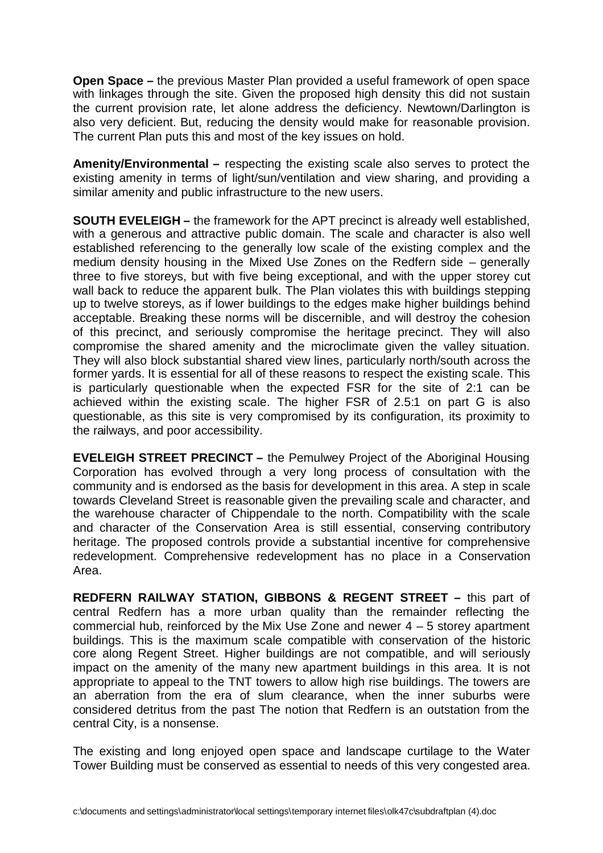**Open Space –** the previous Master Plan provided a useful framework of open space with linkages through the site. Given the proposed high density this did not sustain the current provision rate, let alone address the deficiency. Newtown/Darlington is also very deficient. But, reducing the density would make for reasonable provision. The current Plan puts this and most of the key issues on hold.

**Amenity/Environmental –** respecting the existing scale also serves to protect the existing amenity in terms of light/sun/ventilation and view sharing, and providing a similar amenity and public infrastructure to the new users.

**SOUTH EVELEIGH –** the framework for the APT precinct is already well established, with a generous and attractive public domain. The scale and character is also well established referencing to the generally low scale of the existing complex and the medium density housing in the Mixed Use Zones on the Redfern side – generally three to five storeys, but with five being exceptional, and with the upper storey cut wall back to reduce the apparent bulk. The Plan violates this with buildings stepping up to twelve storeys, as if lower buildings to the edges make higher buildings behind acceptable. Breaking these norms will be discernible, and will destroy the cohesion of this precinct, and seriously compromise the heritage precinct. They will also compromise the shared amenity and the microclimate given the valley situation. They will also block substantial shared view lines, particularly north/south across the former yards. It is essential for all of these reasons to respect the existing scale. This is particularly questionable when the expected FSR for the site of 2:1 can be achieved within the existing scale. The higher FSR of 2.5:1 on part G is also questionable, as this site is very compromised by its configuration, its proximity to the railways, and poor accessibility.

**EVELEIGH STREET PRECINCT –** the Pemulwey Project of the Aboriginal Housing Corporation has evolved through a very long process of consultation with the community and is endorsed as the basis for development in this area. A step in scale towards Cleveland Street is reasonable given the prevailing scale and character, and the warehouse character of Chippendale to the north. Compatibility with the scale and character of the Conservation Area is still essential, conserving contributory heritage. The proposed controls provide a substantial incentive for comprehensive redevelopment. Comprehensive redevelopment has no place in a Conservation Area.

**REDFERN RAILWAY STATION, GIBBONS & REGENT STREET –** this part of central Redfern has a more urban quality than the remainder reflecting the commercial hub, reinforced by the Mix Use Zone and newer  $4 - 5$  storey apartment buildings. This is the maximum scale compatible with conservation of the historic core along Regent Street. Higher buildings are not compatible, and will seriously impact on the amenity of the many new apartment buildings in this area. It is not appropriate to appeal to the TNT towers to allow high rise buildings. The towers are an aberration from the era of slum clearance, when the inner suburbs were considered detritus from the past The notion that Redfern is an outstation from the central City, is a nonsense.

The existing and long enjoyed open space and landscape curtilage to the Water Tower Building must be conserved as essential to needs of this very congested area.